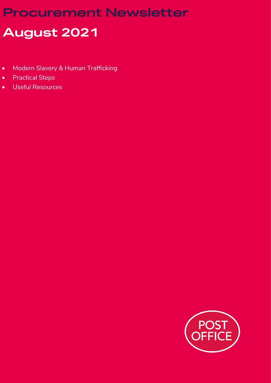## **Procurement Newsletter**

# **August 2021**

- Modern Slavery & Human Trafficking
- Practical Steps
- Useful Resources

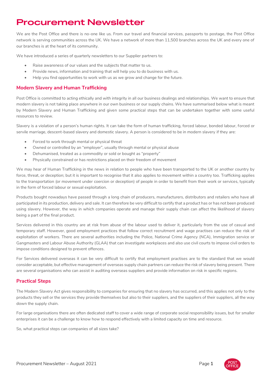### **Procurement Newsletter**

We are the Post Office and there is no-one like us. From our travel and financial services, passports to postage, the Post Office network is serving communities across the UK. We have a network of more than 11,500 branches across the UK and every one of our branches is at the heart of its community.

We have introduced a series of quarterly newsletters to our Supplier partners to:

- Raise awareness of our values and the subjects that matter to us.
- Provide news, information and training that will help you to do business with us.
- Help you find opportunities to work with us as we grow and change for the future.

#### **Modern Slavery and Human Trafficking**

Post Office is committed to acting ethically and with integrity in all our business dealings and relationships. We want to ensure that modern slavery is not taking place anywhere in our own business or our supply chains. We have summarised below what is meant by Modern Slavery and Human Trafficking and given some practical steps that can be undertaken together with some useful resources to review.

Slavery is a violation of a person's human rights. It can take the form of human trafficking, forced labour, bonded labour, forced or servile marriage, descent-based slavery and domestic slavery. A person is considered to be in modern slavery if they are:

- Forced to work through mental or physical threat
- Owned or controlled by an "employer", usually through mental or physical abuse
- Dehumanised, treated as a commodity or sold or bought as "property"
- Physically constrained or has restrictions placed on their freedom of movement

We may hear of Human Trafficking in the news in relation to people who have been transported to the UK or another country by force, threat, or deception; but it is important to recognise that it also applies to movement within a country too. Trafficking applies to the transportation (or movement under coercion or deception) of people in order to benefit from their work or services, typically in the form of forced labour or sexual exploitation.

Products bought nowadays have passed through a long chain of producers, manufacturers, distributors and retailers who have all participated in its production, delivery and sale. It can therefore be very difficult to certify that a product has or has not been produced using slavery. However, the way in which companies operate and manage their supply chain can affect the likelihood of slavery being a part of the final product.

Services delivered in this country are at risk from abuse of the labour used to deliver it, particularly from the use of casual and temporary staff. However, good employment practices that follow correct recruitment and wage practises can reduce the risk of exploitation of workers. There are several authorities including the Police, National Crime Agency (NCA), Immigration service or Gangmasters and Labour Abuse Authority (GLAA) that can investigate workplaces and also use civil courts to impose civil orders to impose conditions designed to prevent offences.

For Services delivered overseas it can be very difficult to certify that employment practises are to the standard that we would consider acceptable, but effective management of overseas supply chain partners can reduce the risk of slavery being present. There are several organisations who can assist in auditing overseas suppliers and provide information on risk in specific regions.

### **Practical Steps**

The Modern Slavery Act gives responsibility to companies for ensuring that no slavery has occurred, and this applies not only to the products they sell or the services they provide themselves but also to their suppliers, and the suppliers of their suppliers, all the way down the supply chain.

For large organisations there are often dedicated staff to cover a wide range of corporate social responsibility issues, but for smaller enterprises it can be a challenge to know how to respond effectively with a limited capacity on time and resource.

So, what practical steps can companies of all sizes take?